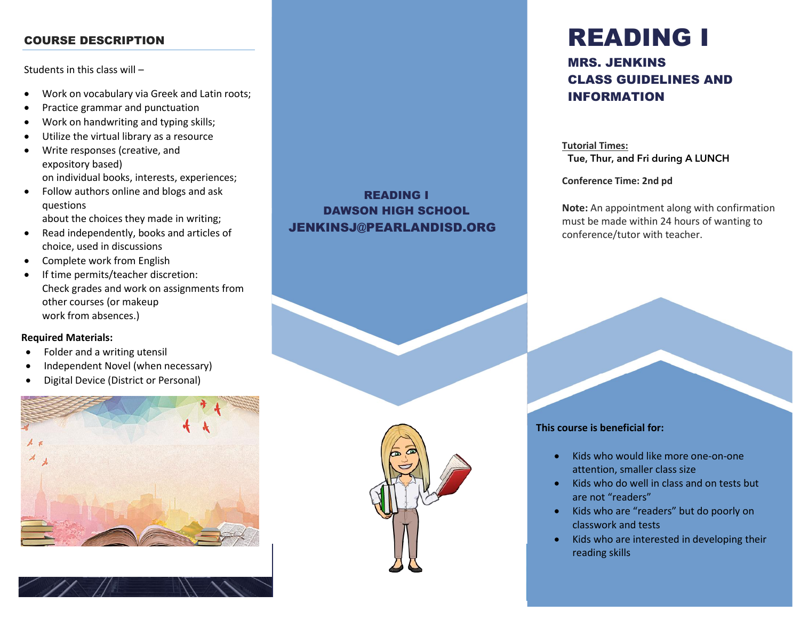#### COURSE DESCRIPTION

Students in this class will –

- Work on vocabulary via Greek and Latin roots;
- Practice grammar and punctuation
- Work on handwriting and typing skills;
- Utilize the virtual library as a resource
- Write responses (creative, and expository based) on individual books, interests, experiences;
- Follow authors online and blogs and ask questions about the choices they made in writing;
- Read independently, books and articles of choice, used in discussions
- Complete work from English
- If time permits/teacher discretion: Check grades and work on assignments from other courses (or makeup work from absences.)

#### **Required Materials:**

- v • Folder and a writing utensil
- Independent Novel (when necessary)
- Digital Device (District or Personal)





#### READING I DAWSON HIGH SCHOOL JENKINSJ@PEARLANDISD.ORG



# READING I

#### MRS. JENKINS CLASS GUIDELINES AND INFORMATION

**Tutorial Times:** Tue, Thur, and Fri during A LUNCH

**Conference Time: 2nd pd**

**Note:** An appointment along with confirmation must be made within 24 hours of wanting to conference/tutor with teacher.

#### **This course is beneficial for:**

• Kids who would like more one-on-one attention, smaller class size

- Kids who do well in class and on tests but are not "readers"
- Kids who are "readers" but do poorly on classwork and tests
- Kids who are interested in developing their reading skills